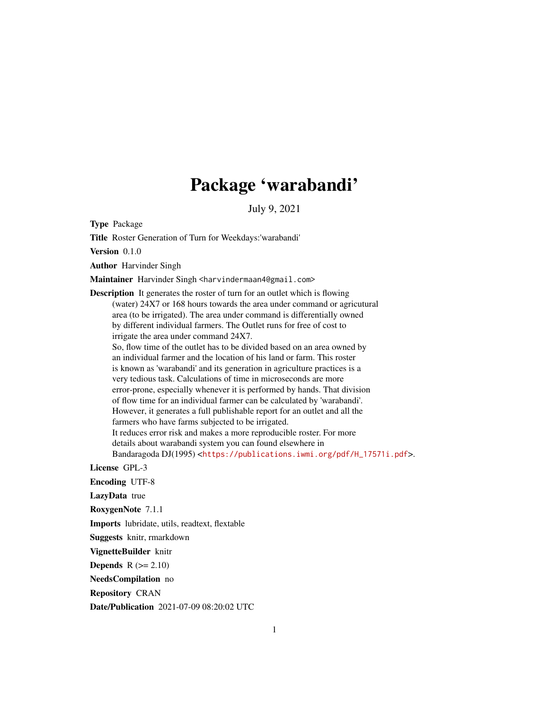## Package 'warabandi'

July 9, 2021

Type Package

Title Roster Generation of Turn for Weekdays:'warabandi'

Version 0.1.0

Author Harvinder Singh

Maintainer Harvinder Singh <harvindermaan4@gmail.com>

Description It generates the roster of turn for an outlet which is flowing (water) 24X7 or 168 hours towards the area under command or agricutural area (to be irrigated). The area under command is differentially owned by different individual farmers. The Outlet runs for free of cost to irrigate the area under command 24X7.

So, flow time of the outlet has to be divided based on an area owned by an individual farmer and the location of his land or farm. This roster is known as 'warabandi' and its generation in agriculture practices is a very tedious task. Calculations of time in microseconds are more error-prone, especially whenever it is performed by hands. That division of flow time for an individual farmer can be calculated by 'warabandi'. However, it generates a full publishable report for an outlet and all the farmers who have farms subjected to be irrigated. It reduces error risk and makes a more reproducible roster. For more details about warabandi system you can found elsewhere in

Bandaragoda DJ(1995) <[https://publications.iwmi.org/pdf/H\\_17571i.pdf](https://publications.iwmi.org/pdf/H_17571i.pdf)>.

License GPL-3

Encoding UTF-8

LazyData true

RoxygenNote 7.1.1

Imports lubridate, utils, readtext, flextable

Suggests knitr, rmarkdown

VignetteBuilder knitr

**Depends**  $R$  ( $>= 2.10$ )

NeedsCompilation no

Repository CRAN

Date/Publication 2021-07-09 08:20:02 UTC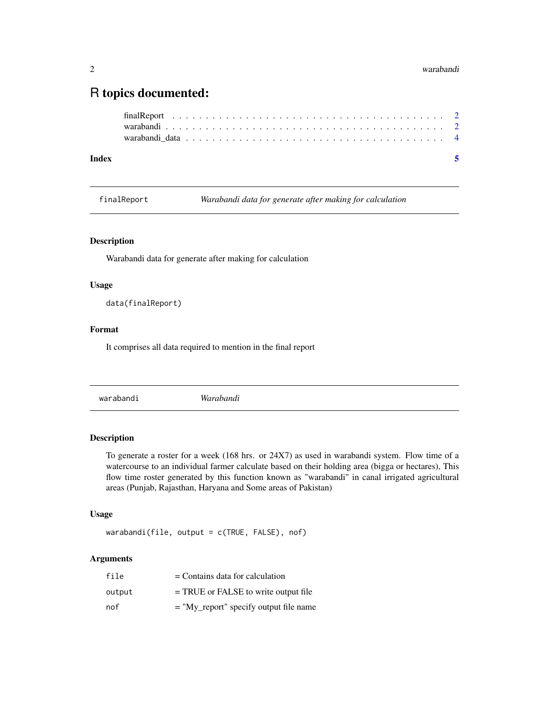### <span id="page-1-0"></span>R topics documented:

| Index |  |  |  |  |  |  |  |  |  |  |  |  |  |  |  |  |  |  |
|-------|--|--|--|--|--|--|--|--|--|--|--|--|--|--|--|--|--|--|
|       |  |  |  |  |  |  |  |  |  |  |  |  |  |  |  |  |  |  |
|       |  |  |  |  |  |  |  |  |  |  |  |  |  |  |  |  |  |  |
|       |  |  |  |  |  |  |  |  |  |  |  |  |  |  |  |  |  |  |

finalReport *Warabandi data for generate after making for calculation*

#### Description

Warabandi data for generate after making for calculation

#### Usage

data(finalReport)

#### Format

It comprises all data required to mention in the final report

warabandi *Warabandi*

#### Description

To generate a roster for a week (168 hrs. or 24X7) as used in warabandi system. Flow time of a watercourse to an individual farmer calculate based on their holding area (bigga or hectares), This flow time roster generated by this function known as "warabandi" in canal irrigated agricultural areas (Punjab, Rajasthan, Haryana and Some areas of Pakistan)

#### Usage

warabandi(file, output = c(TRUE, FALSE), nof)

#### Arguments

| file   | $=$ Contains data for calculation        |
|--------|------------------------------------------|
| output | $=$ TRUE or FALSE to write output file   |
| nof    | $=$ "My_report" specify output file name |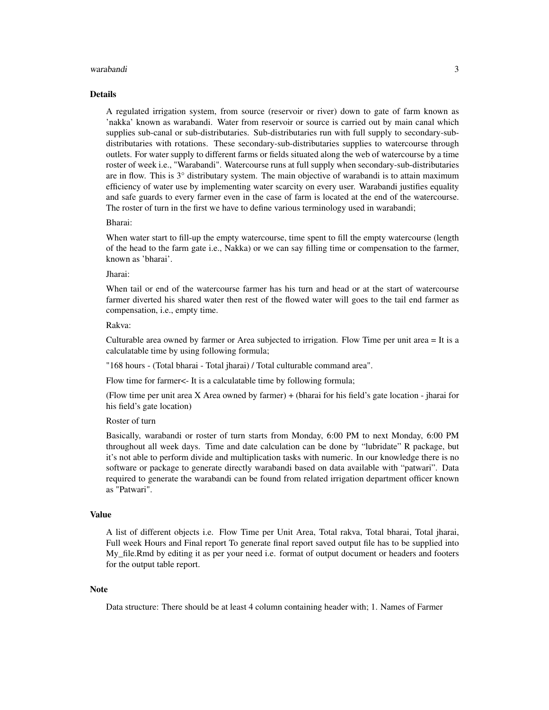#### warabandi 3

#### Details

A regulated irrigation system, from source (reservoir or river) down to gate of farm known as 'nakka' known as warabandi. Water from reservoir or source is carried out by main canal which supplies sub-canal or sub-distributaries. Sub-distributaries run with full supply to secondary-subdistributaries with rotations. These secondary-sub-distributaries supplies to watercourse through outlets. For water supply to different farms or fields situated along the web of watercourse by a time roster of week i.e., "Warabandi". Watercourse runs at full supply when secondary-sub-distributaries are in flow. This is  $3^\circ$  distributary system. The main objective of warabandi is to attain maximum efficiency of water use by implementing water scarcity on every user. Warabandi justifies equality and safe guards to every farmer even in the case of farm is located at the end of the watercourse. The roster of turn in the first we have to define various terminology used in warabandi;

#### Bharai:

When water start to fill-up the empty watercourse, time spent to fill the empty watercourse (length of the head to the farm gate i.e., Nakka) or we can say filling time or compensation to the farmer, known as 'bharai'.

#### Jharai:

When tail or end of the watercourse farmer has his turn and head or at the start of watercourse farmer diverted his shared water then rest of the flowed water will goes to the tail end farmer as compensation, i.e., empty time.

#### Rakva:

Culturable area owned by farmer or Area subjected to irrigation. Flow Time per unit area = It is a calculatable time by using following formula;

"168 hours - (Total bharai - Total jharai) / Total culturable command area".

Flow time for farmer<- It is a calculatable time by following formula;

(Flow time per unit area X Area owned by farmer) + (bharai for his field's gate location - jharai for his field's gate location)

#### Roster of turn

Basically, warabandi or roster of turn starts from Monday, 6:00 PM to next Monday, 6:00 PM throughout all week days. Time and date calculation can be done by "lubridate" R package, but it's not able to perform divide and multiplication tasks with numeric. In our knowledge there is no software or package to generate directly warabandi based on data available with "patwari". Data required to generate the warabandi can be found from related irrigation department officer known as "Patwari".

#### Value

A list of different objects i.e. Flow Time per Unit Area, Total rakva, Total bharai, Total jharai, Full week Hours and Final report To generate final report saved output file has to be supplied into My\_file.Rmd by editing it as per your need i.e. format of output document or headers and footers for the output table report.

#### **Note**

Data structure: There should be at least 4 column containing header with; 1. Names of Farmer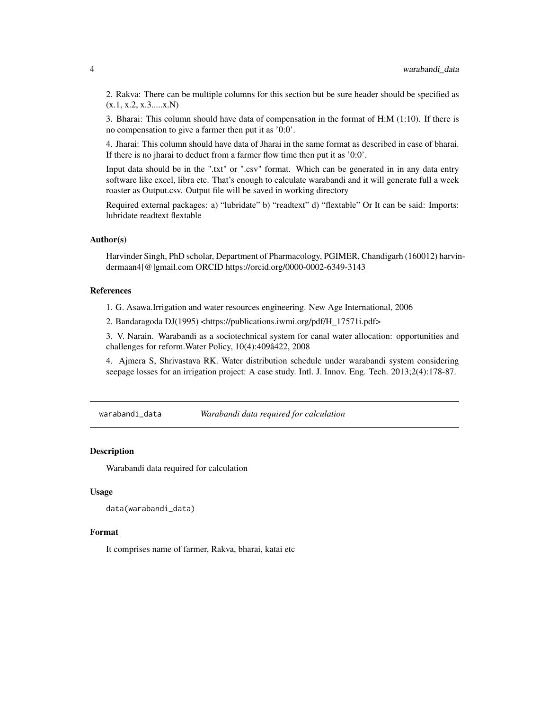<span id="page-3-0"></span>2. Rakva: There can be multiple columns for this section but be sure header should be specified as  $(x.1, x.2, x.3...x.N)$ 

3. Bharai: This column should have data of compensation in the format of H:M (1:10). If there is no compensation to give a farmer then put it as '0:0'.

4. Jharai: This column should have data of Jharai in the same format as described in case of bharai. If there is no jharai to deduct from a farmer flow time then put it as '0:0'.

Input data should be in the ".txt" or ".csv" format. Which can be generated in in any data entry software like excel, libra etc. That's enough to calculate warabandi and it will generate full a week roaster as Output.csv. Output file will be saved in working directory

Required external packages: a) "lubridate" b) "readtext" d) "flextable" Or It can be said: Imports: lubridate readtext flextable

#### Author(s)

Harvinder Singh, PhD scholar, Department of Pharmacology, PGIMER, Chandigarh (160012) harvindermaan4[@]gmail.com ORCID https://orcid.org/0000-0002-6349-3143

#### References

1. G. Asawa.Irrigation and water resources engineering. New Age International, 2006

2. Bandaragoda DJ(1995) <https://publications.iwmi.org/pdf/H\_17571i.pdf>

3. V. Narain. Warabandi as a sociotechnical system for canal water allocation: opportunities and challenges for reform.Water Policy, 10(4):409â422, 2008

4. Ajmera S, Shrivastava RK. Water distribution schedule under warabandi system considering seepage losses for an irrigation project: A case study. Intl. J. Innov. Eng. Tech. 2013;2(4):178-87.

warabandi\_data *Warabandi data required for calculation*

#### **Description**

Warabandi data required for calculation

#### Usage

```
data(warabandi_data)
```
#### Format

It comprises name of farmer, Rakva, bharai, katai etc